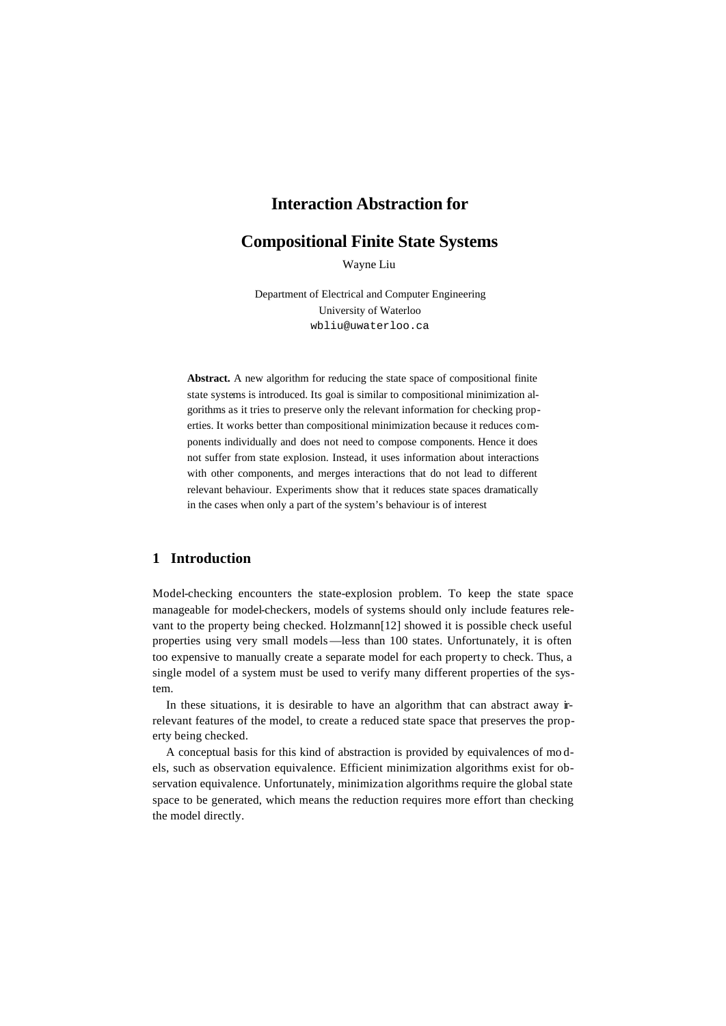# **Interaction Abstraction for**

## **Compositional Finite State Systems**

Wayne Liu

Department of Electrical and Computer Engineering University of Waterloo wbliu@uwaterloo.ca

**Abstract.** A new algorithm for reducing the state space of compositional finite state systems is introduced. Its goal is similar to compositional minimization algorithms as it tries to preserve only the relevant information for checking properties. It works better than compositional minimization because it reduces components individually and does not need to compose components. Hence it does not suffer from state explosion. Instead, it uses information about interactions with other components, and merges interactions that do not lead to different relevant behaviour. Experiments show that it reduces state spaces dramatically in the cases when only a part of the system's behaviour is of interest

## **1 Introduction**

Model-checking encounters the state-explosion problem. To keep the state space manageable for model-checkers, models of systems should only include features relevant to the property being checked. Holzmann[12] showed it is possible check useful properties using very small models—less than 100 states. Unfortunately, it is often too expensive to manually create a separate model for each property to check. Thus, a single model of a system must be used to verify many different properties of the system.

In these situations, it is desirable to have an algorithm that can abstract away irrelevant features of the model, to create a reduced state space that preserves the property being checked.

A conceptual basis for this kind of abstraction is provided by equivalences of mo dels, such as observation equivalence. Efficient minimization algorithms exist for observation equivalence. Unfortunately, minimization algorithms require the global state space to be generated, which means the reduction requires more effort than checking the model directly.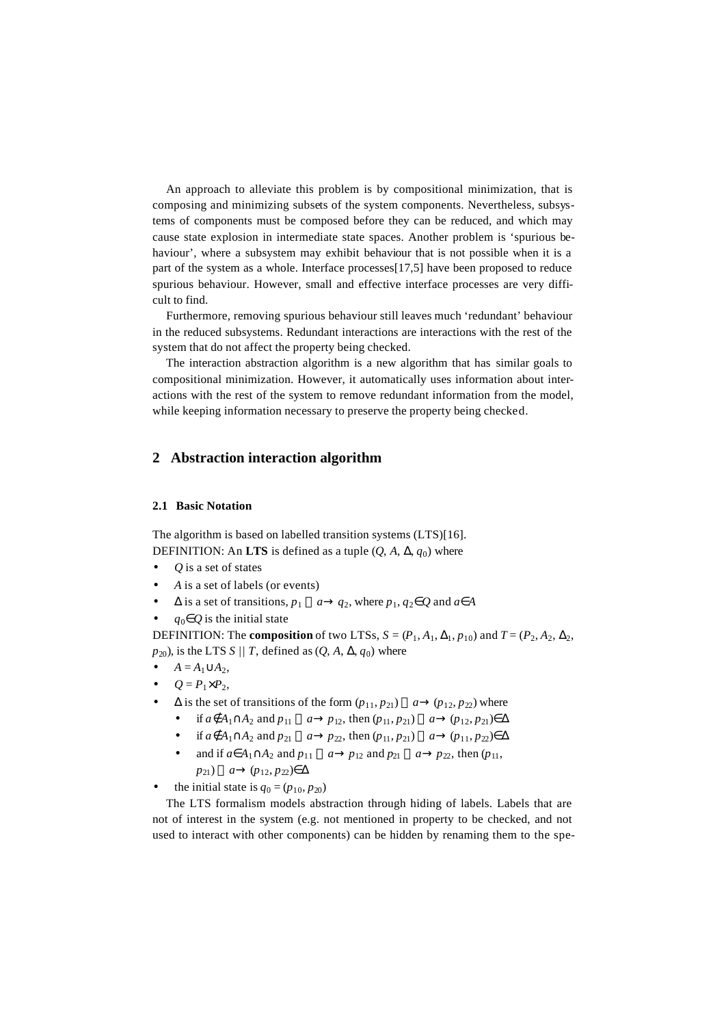An approach to alleviate this problem is by compositional minimization, that is composing and minimizing subsets of the system components. Nevertheless, subsystems of components must be composed before they can be reduced, and which may cause state explosion in intermediate state spaces. Another problem is 'spurious behaviour', where a subsystem may exhibit behaviour that is not possible when it is a part of the system as a whole. Interface processes[17,5] have been proposed to reduce spurious behaviour. However, small and effective interface processes are very difficult to find.

Furthermore, removing spurious behaviour still leaves much 'redundant' behaviour in the reduced subsystems. Redundant interactions are interactions with the rest of the system that do not affect the property being checked.

The interaction abstraction algorithm is a new algorithm that has similar goals to compositional minimization. However, it automatically uses information about interactions with the rest of the system to remove redundant information from the model, while keeping information necessary to preserve the property being checked.

## **2 Abstraction interaction algorithm**

#### **2.1 Basic Notation**

The algorithm is based on labelled transition systems (LTS)[16]. DEFINITION: An **LTS** is defined as a tuple  $(Q, A, \Delta, q_0)$  where

- *Q* is a set of states
- *A* is a set of labels (or events)
- $\Delta$  is a set of transitions,  $p_1 \rightarrow q_2$ , where  $p_1, q_2 \in Q$  and  $a \in A$
- $q_0∈Q$  is the initial state

DEFINITION: The **composition** of two LTSs,  $S = (P_1, A_1, \Delta_1, p_{10})$  and  $T = (P_2, A_2, \Delta_2,$  $p_{20}$ , is the LTS *S ||T*, defined as  $(Q, A, \Delta, q_0)$  where

- $A = A_1 \cup A_2$
- $Q = P_1 \times P_2$
- $\Delta$  is the set of transitions of the form  $(p_{11}, p_{21})$  *a*  $\rightarrow$   $(p_{12}, p_{22})$  where
	- if  $a \notin A_1 \cap A_2$  and  $p_{11} a \rightarrow p_{12}$ , then  $(p_{11}, p_{21}) a \rightarrow (p_{12}, p_{21}) \in \Delta$
	- if  $a \notin A_1 \cap A_2$  and  $p_{21}$  *a*→  $p_{22}$ , then  $(p_{11}, p_{21})$  *a*→  $(p_{11}, p_{22}) \in \Delta$
	- and if  $a \in A_1 \cap A_2$  and  $p_{11} \longrightarrow p_{12}$  and  $p_{21} \longrightarrow p_{22}$ , then  $(p_{11},$  $p_{21}$  $\rightarrow$   $q \rightarrow$   $(p_{12}, p_{22})\in \Delta$
- the initial state is  $q_0 = (p_{10}, p_{20})$

The LTS formalism models abstraction through hiding of labels. Labels that are not of interest in the system (e.g. not mentioned in property to be checked, and not used to interact with other components) can be hidden by renaming them to the spe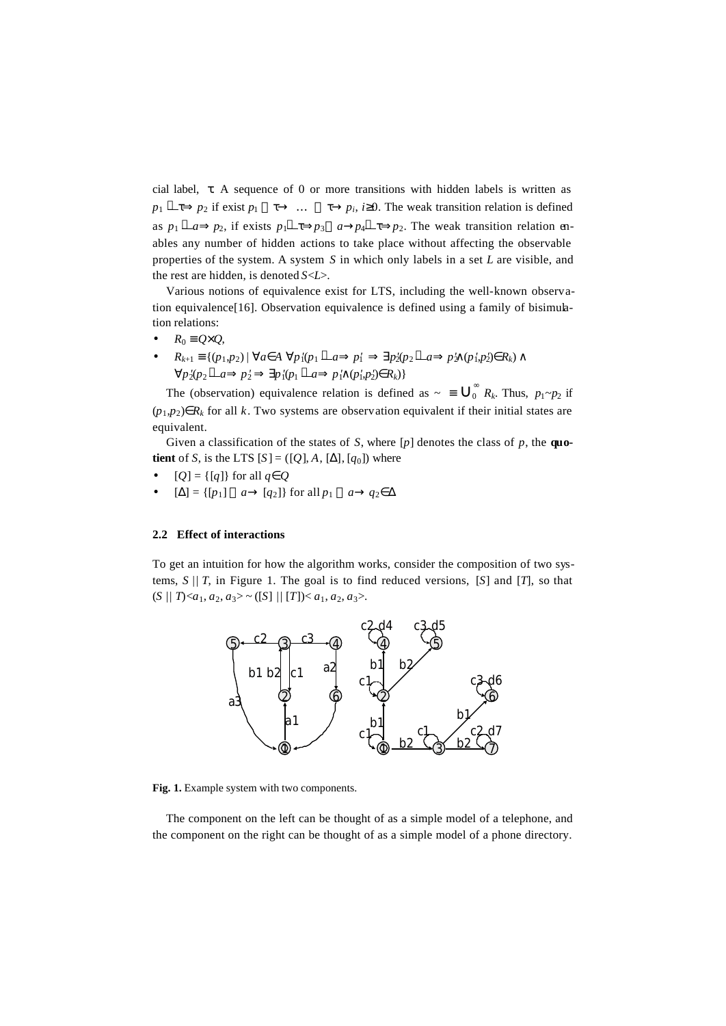cial label, *t*. A sequence of 0 or more transitions with hidden labels is written as  $p_1$   $\pm t$   $\Rightarrow$   $p_2$  if exist  $p_1$   $\pm t$  →  $\cdots$   $\pm t$   $\Rightarrow$   $p_i$ ,  $i \ge 0$ . The weak transition relation is defined as  $p_1 \equiv a \Rightarrow p_2$ , if exists  $p_1 \equiv t \Rightarrow p_3 \equiv a \rightarrow p_4 \equiv t \Rightarrow p_2$ . The weak transition relation enables any number of hidden actions to take place without affecting the observable properties of the system. A system *S* in which only labels in a set *L* are visible, and the rest are hidden, is denoted *S*<*L*>.

Various notions of equivalence exist for LTS, including the well-known observation equivalence[16]. Observation equivalence is defined using a family of bisimulation relations:

- $R_0 \equiv Q \times Q$ ,
- $R_{k+1} \equiv \{ (p_1, p_2) \mid \forall a \in A \; \forall p_1(p_1 \equiv a \Rightarrow p_1' \Rightarrow \exists p_2' (p_2 \equiv a \Rightarrow p_2' (p_1', p_2') \in R_k) \land$  $\forall p_2 \land p_2 \equiv a \Rightarrow p_2 \Rightarrow \exists p_1 \land (p_1 \equiv a \Rightarrow p_1 \land (p_1 \land p_2) \in R_k)$

The (observation) equivalence relation is defined as  $\sim \equiv \bigcup_{0}^{\infty} R_{k}$ . Thus,  $p_1 \sim p_2$  if (*p*1,*p*2)∈*R<sup>k</sup>* for all *k*. Two systems are observation equivalent if their initial states are equivalent.

Given a classification of the states of *S*, where [p] denotes the class of p, the quo**tient** of *S*, is the LTS  $[S] = ([Q], A, [\Delta], [q_0])$  where

- $[Q] = \{ [q] \}$  for all  $q \in Q$
- $[\Delta] = \{ [p_1] \rightarrow a \rightarrow [q_2] \}$  for all  $p_1 \rightarrow a \rightarrow q_2 \in \Delta$

#### **2.2 Effect of interactions**

To get an intuition for how the algorithm works, consider the composition of two systems,  $S / T$ , in Figure 1. The goal is to find reduced versions, [S] and [T], so that  $(S \mid T) \leq a_1, a_2, a_3 > \sim ([S] \mid T] \leq a_1, a_2, a_3 >.$ 



**Fig. 1.** Example system with two components.

The component on the left can be thought of as a simple model of a telephone, and the component on the right can be thought of as a simple model of a phone directory.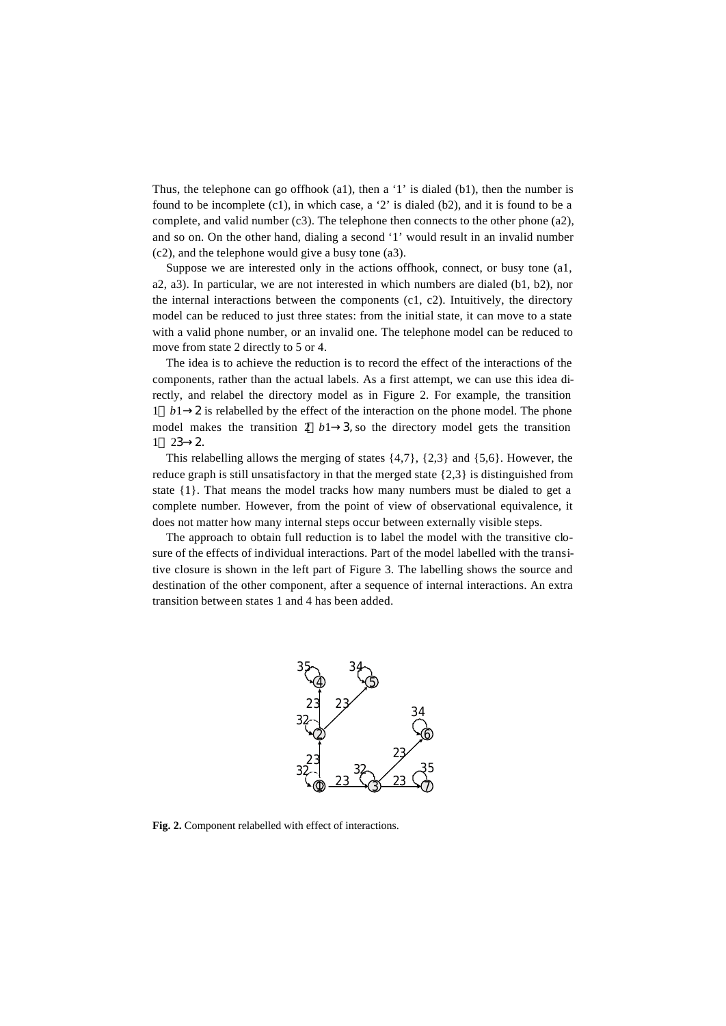Thus, the telephone can go offhook  $(a1)$ , then a '1' is dialed  $(b1)$ , then the number is found to be incomplete (c1), in which case, a '2' is dialed (b2), and it is found to be a complete, and valid number  $(c3)$ . The telephone then connects to the other phone  $(a2)$ , and so on. On the other hand, dialing a second '1' would result in an invalid number (c2), and the telephone would give a busy tone (a3).

Suppose we are interested only in the actions offhook, connect, or busy tone (a1, a2, a3). In particular, we are not interested in which numbers are dialed (b1, b2), nor the internal interactions between the components (c1, c2). Intuitively, the directory model can be reduced to just three states: from the initial state, it can move to a state with a valid phone number, or an invalid one. The telephone model can be reduced to move from state 2 directly to 5 or 4.

The idea is to achieve the reduction is to record the effect of the interactions of the components, rather than the actual labels. As a first attempt, we can use this idea directly, and relabel the directory model as in Figure 2. For example, the transition  $1-b1\rightarrow 2$  is relabelled by the effect of the interaction on the phone model. The phone model makes the transition  $2-b1\rightarrow 3$ , so the directory model gets the transition  $1-23\rightarrow 2$ .

This relabelling allows the merging of states  $\{4,7\}$ ,  $\{2,3\}$  and  $\{5,6\}$ . However, the reduce graph is still unsatisfactory in that the merged state  $\{2,3\}$  is distinguished from state {1}. That means the model tracks how many numbers must be dialed to get a complete number. However, from the point of view of observational equivalence, it does not matter how many internal steps occur between externally visible steps.

The approach to obtain full reduction is to label the model with the transitive closure of the effects of individual interactions. Part of the model labelled with the transitive closure is shown in the left part of Figure 3. The labelling shows the source and destination of the other component, after a sequence of internal interactions. An extra transition between states 1 and 4 has been added.



**Fig. 2.** Component relabelled with effect of interactions.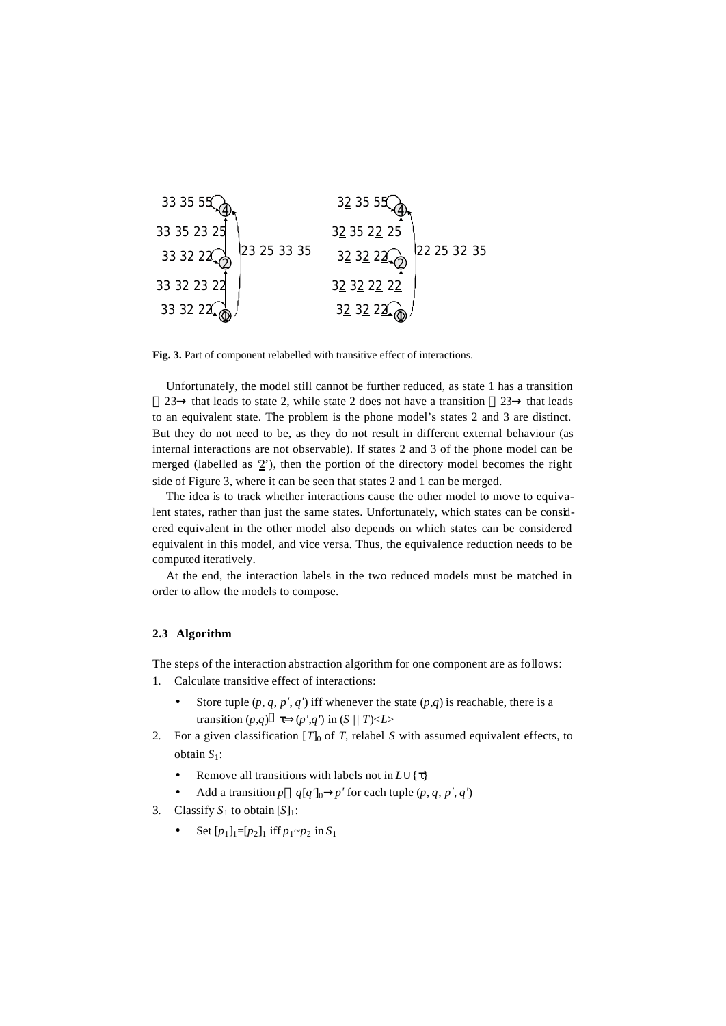

**Fig. 3.** Part of component relabelled with transitive effect of interactions.

Unfortunately, the model still cannot be further reduced, as state 1 has a transition  $-23\rightarrow$  that leads to state 2, while state 2 does not have a transition  $-23\rightarrow$  that leads to an equivalent state. The problem is the phone model's states 2 and 3 are distinct. But they do not need to be, as they do not result in different external behaviour (as internal interactions are not observable). If states 2 and 3 of the phone model can be merged (labelled as  $2'$ ), then the portion of the directory model becomes the right side of Figure 3, where it can be seen that states 2 and 1 can be merged.

The idea is to track whether interactions cause the other model to move to equivalent states, rather than just the same states. Unfortunately, which states can be considered equivalent in the other model also depends on which states can be considered equivalent in this model, and vice versa. Thus, the equivalence reduction needs to be computed iteratively.

At the end, the interaction labels in the two reduced models must be matched in order to allow the models to compose.

### **2.3 Algorithm**

The steps of the interaction abstraction algorithm for one component are as follows: 1. Calculate transitive effect of interactions:

- Store tuple  $(p, q, p', q')$  iff whenever the state  $(p,q)$  is reachable, there is a transition  $(p,q)$ = $t \Rightarrow (p',q')$  in  $(S \mid T) \le L$ >
- 2. For a given classification  $[T]_0$  of *T*, relabel *S* with assumed equivalent effects, to obtain *S*1:
	- Remove all transitions with labels not in *L*∪{*t*}
	- Add a transition  $p \rightarrow q[q']_0 \rightarrow p'$  for each tuple  $(p, q, p', q')$
- 3. Classify  $S_1$  to obtain  $[S]_1$ :
	- Set  $[p_1]_1=[p_2]_1$  iff  $p_1 \sim p_2$  in  $S_1$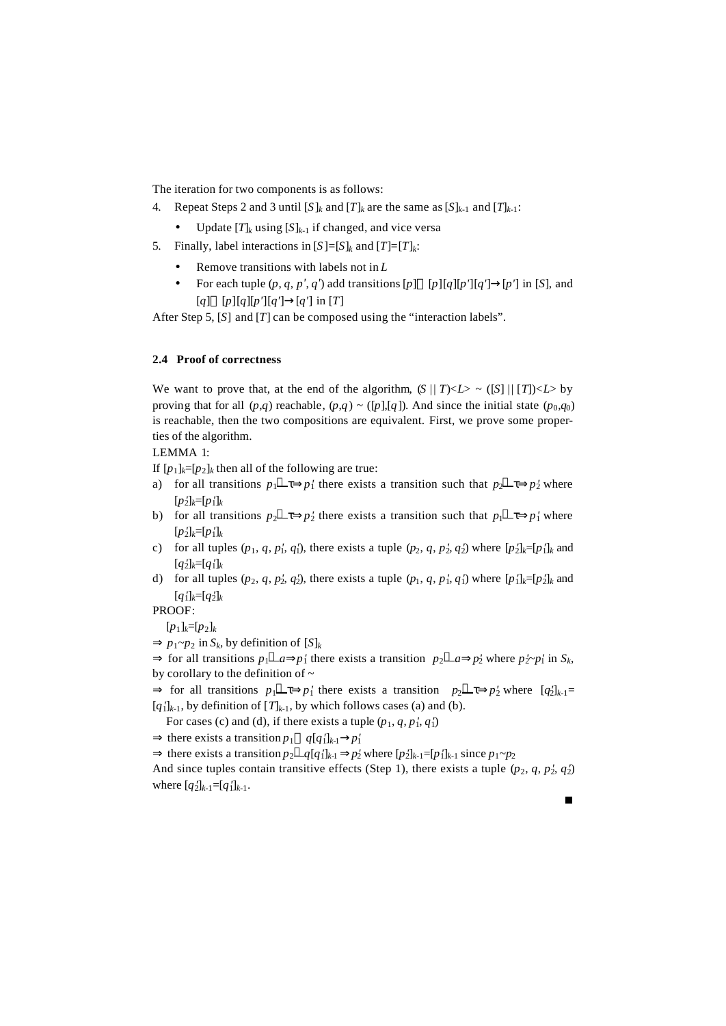The iteration for two components is as follows:

- 4. Repeat Steps 2 and 3 until  $[S]_k$  and  $[T]_k$  are the same as  $[S]_{k-1}$  and  $[T]_{k-1}$ :
	- Update  $[T]_k$  using  $[S]_{k-1}$  if changed, and vice versa
- 5. Finally, label interactions in  $[S]=[S]_k$  and  $[T]=[T]_k$ :
	- Remove transitions with labels not in *L*
	- For each tuple  $(p, q, p', q')$  add transitions  $[p]$ — $[p][q][p'] [q'] \rightarrow [p']$  in [*S*], and  $[q] \rightarrow [p][q][p'][q'] \rightarrow [q']$  in [*T*]

After Step 5, [*S*] and [*T*] can be composed using the "interaction labels".

### **2.4 Proof of correctness**

We want to prove that, at the end of the algorithm,  $(S // T) < L$  ~ ( $[S] // [T] < L$  by proving that for all  $(p,q)$  reachable,  $(p,q) \sim ([p],[q])$ . And since the initial state  $(p_0,q_0)$ is reachable, then the two compositions are equivalent. First, we prove some properties of the algorithm.

LEMMA 1:

If  $[p_1]_k = [p_2]_k$  then all of the following are true:

- a) for all transitions  $p_1 \rightleftharpoons t \rightleftharpoons p'_1$  there exists a transition such that  $p_2 \rightleftharpoons t \rightleftharpoons p'_2$  where  $[p_2^{\prime}]_k = [p_1^{\prime}]_k$
- b) for all transitions  $p_2$ = $t \Rightarrow p_2$ <sup>'</sup> there exists a transition such that  $p_1$ = $t \Rightarrow p_1$ ' where  $[p_2^{\prime}]_k = [p_1^{\prime}]_k$
- c) for all tuples  $(p_1, q, p'_1, q'_1)$ , there exists a tuple  $(p_2, q, p'_2, q'_2)$  where  $[p_2]_k = [p_1]_k$  and  $[q_2^{\prime}]_k = [q_1^{\prime}]_k$
- d) for all tuples  $(p_2, q, p'_2, q'_2)$ , there exists a tuple  $(p_1, q, p'_1, q'_1)$  where  $[p_1]_k = [p_2]_k$  and  $[q_1']_k = [q_2']_k$

PROOF:

 $[p_1]_k=[p_2]_k$ 

 $\Rightarrow$  *p*<sub>1</sub> $\sim$ *p*<sub>2</sub> in *S*<sub>*k*</sub>, by definition of [*S*]<sub>*k*</sub>

 $\Rightarrow$  for all transitions  $p_1 \equiv a \Rightarrow p'_1$  there exists a transition  $p_2 \equiv a \Rightarrow p'_2$  where  $p'_2 \sim p'_1$  in  $S_k$ , by corollary to the definition of  $\sim$ 

 $\Rightarrow$  for all transitions  $p_1 \equiv t \Rightarrow p_1'$  there exists a transition  $p_2 \equiv t \Rightarrow p_2'$  where  $[q_2']_{k-1} =$  $[q_1]_{k-1}$ , by definition of  $[T]_{k-1}$ , by which follows cases (a) and (b).

For cases (c) and (d), if there exists a tuple  $(p_1, q, p'_1, q'_1)$ 

 $\Rightarrow$  there exists a transition  $p_1 \rightarrow q[q_1]_{k-1} \rightarrow p'_1$ 

 $\Rightarrow$  there exists a transition  $p_2 \equiv q[q_1]_{k-1} \Rightarrow p_2$ <sup>'</sup> where  $[p_2]_{k-1} = [p_1']_{k-1}$  since  $p_1 \sim p_2$ 

And since tuples contain transitive effects (Step 1), there exists a tuple  $(p_2, q, p'_2, q'_2)$ where  $[q_2^{\prime}]_{k-1} = [q_1^{\prime}]_{k-1}$ .

n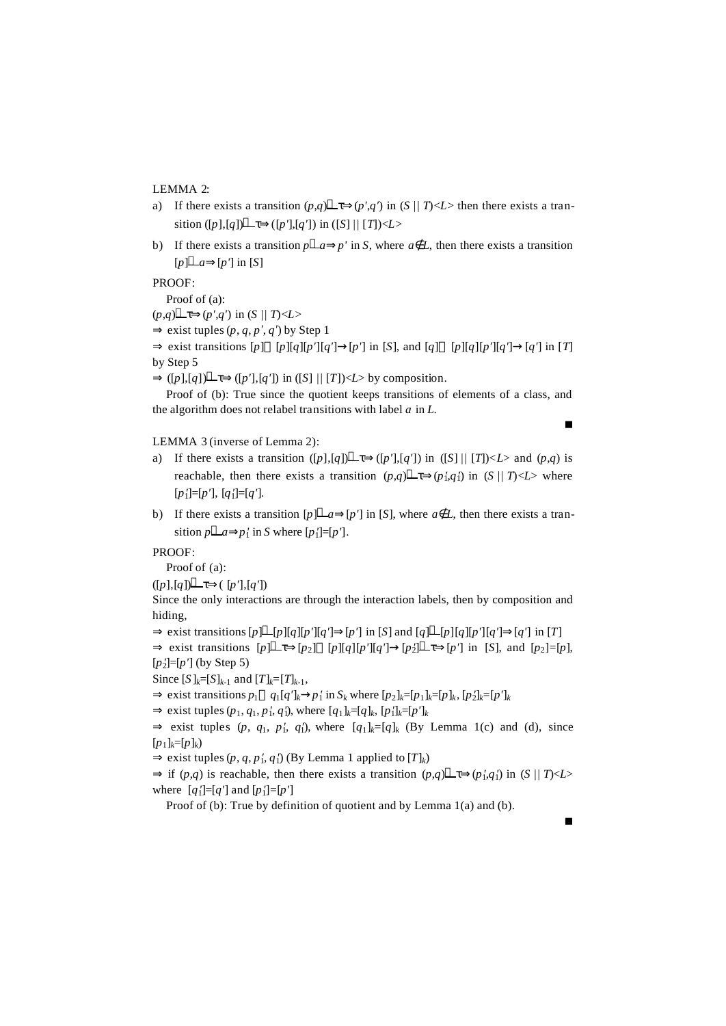#### LEMMA 2:

- a) If there exists a transition  $(p,q)$  $\equiv t \Rightarrow (p',q')$  in  $(S \mid T) \le L$  then there exists a transition ([*p*],[*q*]) *t***⇒([***p'***],[***q'***]) in ([***S***] // [***T***]) <***L***>**
- b) If there exists a transition  $p\equiv a \Rightarrow p'$  in *S*, where  $a \notin L$ , then there exists a transition  $[p \mapsto a \Rightarrow [p']$  in [*S*]

PROOF:

Proof of (a):

 $(p,q)$  $\equiv$ *t***⇒** $(p',q')$  in  $(S \text{ // } T)$  < $L$ >

 $\Rightarrow$  exist tuples  $(p, q, p', q')$  by Step 1

 $\Rightarrow$  exist transitions  $[p]$ — $[p][q][p][q]$  $\rightarrow$  $[p']$  in [*S*], and  $[q]$ — $[p][q][p']$  $[q'] \rightarrow$  $[q']$  in [*T*] by Step 5

 $\Rightarrow$  ([p],[q]) $\leftarrow$ **t** $\Rightarrow$  ([p'],[q']) in ([S] //[T])<*L*> by composition.

Proof of (b): True since the quotient keeps transitions of elements of a class, and the algorithm does not relabel transitions with label *a* in *L*.

LEMMA 3 (inverse of Lemma 2):

- a) If there exists a transition  $([p],[q])\rightarrow t \rightarrow ([p'],[q'])$  in  $([S] \mid / [T]) \le L$  and  $(p,q)$  is reachable, then there exists a transition  $(p,q)$  $\equiv t \Rightarrow (p'_1, q'_1)$  in  $(S \mid T) \le L$  where [*p*1*'*]=[*p'*], [*q*1*'*]=[*q'*].
- b) If there exists a transition  $[p] \equiv a \Rightarrow [p']$  in [*S*], where  $a \notin L$ , then there exists a transition  $p \equiv a \Rightarrow p'_1$  in *S* where  $[p_1'] = [p']$ .

PROOF:

Proof of (a):

([*p*],[*q*]) *t*⇒( [*p'*],[*q'*])

Since the only interactions are through the interaction labels, then by composition and hiding,

 $\Rightarrow$  exist transitions  $[p]=[p][q][p'][q'] \Rightarrow [p']$  in [S] and  $[q]=[p][q][p'][q'] \Rightarrow [q']$  in [T]

 $\Rightarrow$  exist transitions  $[p] \equiv t \Rightarrow [p_2] \rightarrow [p][q][p'][q'] \rightarrow [p_2] \equiv t \Rightarrow [p']$  in [*S*], and  $[p_2] = [p]$ , [*p*2*'*]=[*p'*] (by Step 5)

Since  $[S]_k = [S]_{k-1}$  and  $[T]_k = [T]_{k-1}$ ,

 $\Rightarrow$  exist transitions  $p_1 \rightarrow q_1 [q']_k \rightarrow p'_1$  in  $S_k$  where  $[p_2]_k = [p_1]_k = [p]_k$ ,  $[p_2]_k = [p']_k$ 

 $\Rightarrow$  exist tuples  $(p_1, q_1, p'_1, q'_1)$ , where  $[q_1]_k = [q]_k$ ,  $[p_1]_k = [p']_k$ 

 $\Rightarrow$  exist tuples  $(p, q_1, p'_1, q'_1)$ , where  $[q_1]_k=[q]_k$  (By Lemma 1(c) and (d), since  $[p_1]_k=[p]_k$ 

 $\Rightarrow$  exist tuples  $(p, q, p'_1, q'_1)$  (By Lemma 1 applied to  $[T]_k$ )

 $\Rightarrow$  if (*p*,*q*) is reachable, then there exists a transition (*p*,*q*) $\leftarrow$ **t** $\Rightarrow$ (*p*<sub>1</sub>',*q*<sub>1</sub>') in (*S* || *T*)<*L* $>$ where  $[q_1']=[q']$  and  $[p_1']=[p']$ 

Proof of (b): True by definition of quotient and by Lemma 1(a) and (b).

n

n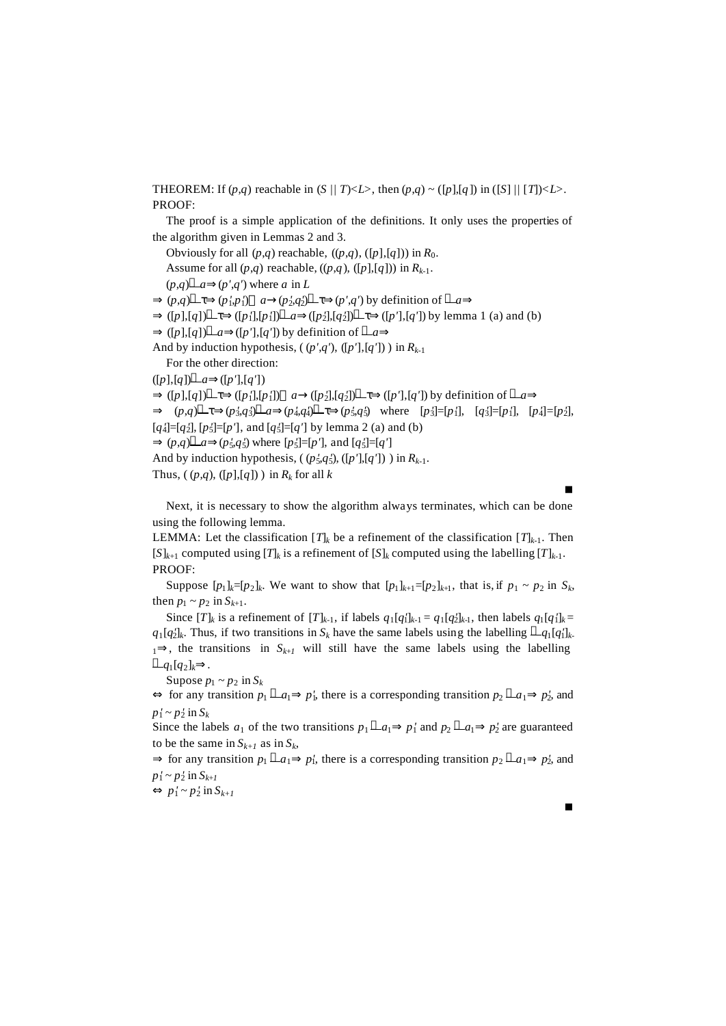THEOREM: If  $(p,q)$  reachable in  $(S \mid T) \le L$ , then  $(p,q) \sim ([p],[q])$  in  $([S] \mid / [T]) \le L$ . PROOF:

The proof is a simple application of the definitions. It only uses the properties of the algorithm given in Lemmas 2 and 3.

Obviously for all  $(p,q)$  reachable,  $((p,q), ([p],[q]))$  in  $R_0$ . Assume for all  $(p,q)$  reachable,  $((p,q), ([p],[q]))$  in  $R_{k-1}$ .  $(p,q)$  $\equiv$ *a*⇒ $(p',q')$  where *a* in *L*  $\Rightarrow$   $(p,q)$  $\equiv$   $t \Rightarrow$   $(p'_1,p'_1)$  $\rightarrow$   $a \rightarrow$   $(p'_2,q'_2)$  $\equiv$   $t \Rightarrow$   $(p',q')$  by definition of  $\equiv$   $a \Rightarrow$  $\Rightarrow$  ([p|,[q|) $\leftarrow$ **t** $\Rightarrow$  ([p|,[p|] $\leftarrow$ a $\Rightarrow$  ([p|,[q|) $\leftarrow$ **t** $\Rightarrow$  ([p'|,[q']) by lemma 1 (a) and (b)  $\Rightarrow$  ([p],[q]) $\equiv$ a $\Rightarrow$ ([p'],[q']) by definition of  $\equiv$ a $\Rightarrow$ And by induction hypothesis,  $((p',q'), ([p'], [q']) )$  in  $R_{k-1}$ For the other direction: ([*p*],[*q*])*a*⇒([*p'*],[*q'*])  $\Rightarrow$  ([p|,[q|) $\leftarrow$ **t** $\Rightarrow$  ([p|,[p|] $\leftarrow$ a $\rightarrow$ ([p|,[q|) $\leftarrow$ **t** $\Rightarrow$  ([p'|,[q']) by definition of  $\leftarrow$ a $\Rightarrow$  $\Rightarrow$   $(p,q)=t \Rightarrow (p_3'q_3)=a \Rightarrow (p_4'q_4)=t \Rightarrow (p_5'q_5')$  where  $[p_3]=[p_1], [q_3]=[p_1], [p_4]=[p_2],$  $[q_4']=[q_2'], [p_5']=[p'],$  and  $[q_5']=[q']$  by lemma 2 (a) and (b)  $\Rightarrow$  (*p*,*q*)=*a*⇒(*p*<sup>1</sup>,*q*<sup>1</sup>) where [*p*<sup>1</sup><sub>2</sub>]=[*p*<sup>'</sup>], and [*q*<sup>2</sup>]=[*q*<sup>'</sup>] And by induction hypothesis,  $((p'_5, q'_5), ([p'], [q'])$  ) in  $R_{k-1}$ .

Thus,  $((p,q), ([p],[q]))$  in  $R_k$  for all  $k$ 

n

Next, it is necessary to show the algorithm always terminates, which can be done using the following lemma.

LEMMA: Let the classification  $[T]_k$  be a refinement of the classification  $[T]_{k-1}$ . Then  $[S]_{k+1}$  computed using  $[T]_k$  is a refinement of  $[S]_k$  computed using the labelling  $[T]_{k-1}$ . PROOF:

Suppose  $[p_1]_k = [p_2]_k$ . We want to show that  $[p_1]_{k+1} = [p_2]_{k+1}$ , that is, if  $p_1 \sim p_2$  in  $S_k$ , then  $p_1 \sim p_2$  in  $S_{k+1}$ .

Since  $[T]_k$  is a refinement of  $[T]_{k-1}$ , if labels  $q_1[q_1']_{k-1} = q_1[q_2']_{k-1}$ , then labels  $q_1[q_1']_k =$  $q_1[q_2]_k$ . Thus, if two transitions in  $S_k$  have the same labels using the labelling  $=q_1[q_1']_k$ . <sub>1</sub>⇒, the transitions in  $S_{k+1}$  will still have the same labels using the labelling  $= q_1[q_2]_k$ ⇒.

Supose  $p_1 \sim p_2$  in  $S_k$ 

 $\Leftrightarrow$  for any transition  $p_1 \equiv a_1 \Rightarrow p'_1$ , there is a corresponding transition  $p_2 \equiv a_1 \Rightarrow p'_2$ , and  $p_1' \sim p_2'$  in  $S_k$ 

Since the labels  $a_1$  of the two transitions  $p_1 \equiv a_1 \Rightarrow p_1'$  and  $p_2 \equiv a_1 \Rightarrow p_2'$  are guaranteed to be the same in  $S_{k+1}$  as in  $S_k$ ,

 $\Rightarrow$  for any transition  $p_1 = a_1 \Rightarrow p'_1$ , there is a corresponding transition  $p_2 = a_1 \Rightarrow p'_2$ , and  $p_1' \sim p_2'$  in  $S_{k+1}$ 

$$
\Leftrightarrow p_1' \sim p_2' \text{ in } S_{k+1}
$$

n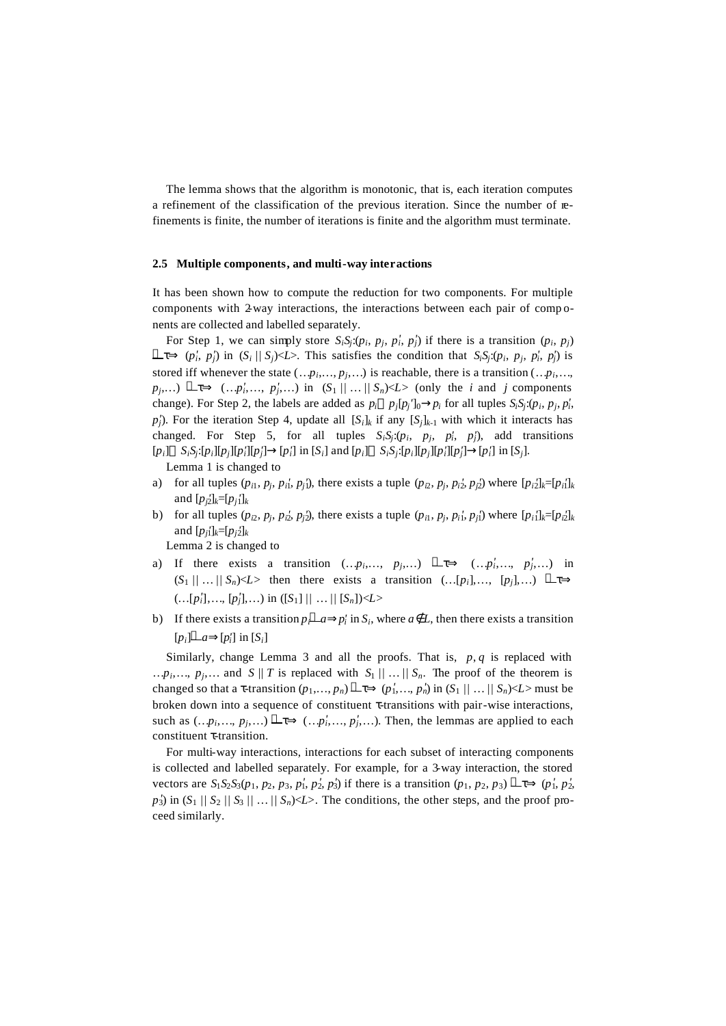The lemma shows that the algorithm is monotonic, that is, each iteration computes a refinement of the classification of the previous iteration. Since the number of refinements is finite, the number of iterations is finite and the algorithm must terminate.

#### **2.5 Multiple components, and multi-way interactions**

It has been shown how to compute the reduction for two components. For multiple components with 2-way interactions, the interactions between each pair of comp onents are collected and labelled separately.

For Step 1, we can simply store  $S_iS_j$ : $(p_i, p_j, p'_i, p'_j)$  if there is a transition  $(p_i, p_j)$  $\equiv t \Rightarrow (p'_i, p'_j)$  in  $(S_i \mid S_j) \leq L$ . This satisfies the condition that  $S_i S_j: (p_i, p_j, p'_i, p'_j)$  is stored iff whenever the state  $(., p_i, ..., p_j, ...)$  is reachable, there is a transition  $(., p_i, ...,$  $p_j$ ....)  $\implies$  (… $p'_i$ ,…,  $p'_j$ ,…) in  $(S_1 \mid \mid ... \mid S_n) \le L$  (only the *i* and *j* components change). For Step 2, the labels are added as *pipj*[*p<sup>j</sup> '*]0→*p<sup>i</sup>* for all tuples *SiS<sup>j</sup>* :(*p<sup>i</sup>* , *p<sup>j</sup>* , *p<sup>i</sup> '*,  $p_j$ ). For the iteration Step 4, update all  $[S_i]_k$  if any  $[S_j]_{k-1}$  with which it interacts has changed. For Step 5, for all tuples  $S_i S_j$ : $(p_i, p_j, p'_i, p_j)$ , add transitions  $[p_i]$   $-S_iS_j$ : $[p_i][p_j][p_i][p_j]$   $\rightarrow$   $[p_i]$  in  $[S_i]$  and  $[p_i]$   $-S_iS_j$ : $[p_i][p_j][p_i][p_j]$   $\rightarrow$   $[p_i]$  in  $[S_j]$ .

Lemma 1 is changed to

- a) for all tuples  $(p_{i1}, p_j, p_{i1}, p_j)$ , there exists a tuple  $(p_{i2}, p_j, p_{i2}, p_{j2})$  where  $[p_{i2}]_k = [p_{i1}]_k$ and  $[p_j]_k = [p_j]_k$
- b) for all tuples  $(p_{i2}, p_j, p_{i2}, p_j)$ , there exists a tuple  $(p_{i1}, p_j, p_{i1}, p_{j1})$  where  $[p_{i1}]_{k}=[p_{i2}]_{k}$ and  $[p_j]_k = [p_j]_k$

Lemma 2 is changed to

- a) If there exists a transition  $(..p_i,...,p_j,...) \implies (..p'_i,...,p'_j,...)$  in  $(S_1 \mid \ldots \mid S_n) \leq L$  then there exists a transition  $(\ldots [p_i], \ldots, [p_i], \ldots) = t \Rightarrow$  $(...[p_i'],..., [p_j'],...)$  in  $([S_1]/ \ldots / [S_n]) \le L >$
- b) If there exists a transition  $p \rightleftarrows a \Rightarrow p_i'$  in  $S_i$ , where  $a \notin L$ , then there exists a transition  $[p_i] \equiv a \Rightarrow [p_i']$  in  $[S_i]$

Similarly, change Lemma 3 and all the proofs. That is, *p*, *q* is replaced with  $\ldots p_i, \ldots, p_j, \ldots$  and *S* || *T* is replaced with *S*<sub>1</sub> || ... || *S*<sub>*n*</sub>. The proof of the theorem is changed so that a *t*-transition  $(p_1, \ldots, p_n) = t \Rightarrow (p'_1, \ldots, p'_n)$  in  $(S_1 \mid \ldots \mid S_n) \le L$  must be broken down into a sequence of constituent *t*-transitions with pair-wise interactions, such as  $(., p_i, ..., p_j, ...)$   $\equiv t \Rightarrow (., p'_i, ..., p'_j, ...)$ . Then, the lemmas are applied to each constituent *t*-transition.

For multi-way interactions, interactions for each subset of interacting components is collected and labelled separately. For example, for a 3-way interaction, the stored vectors are  $S_1S_2S_3(p_1, p_2, p_3, p'_1, p'_2, p'_3)$  if there is a transition  $(p_1, p_2, p_3) = t \Rightarrow (p'_1, p'_2, p'_3)$  $p_3$ ) in  $(S_1 \mid |S_2| \mid S_3 \mid |...| \mid S_n) \le L$ . The conditions, the other steps, and the proof proceed similarly.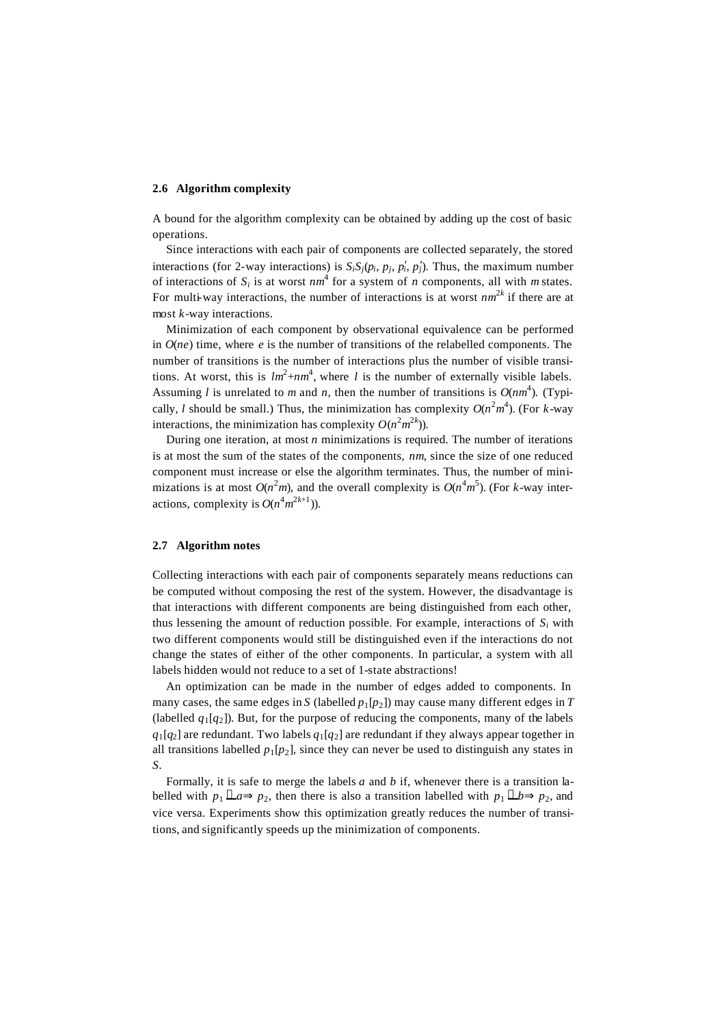#### **2.6 Algorithm complexity**

A bound for the algorithm complexity can be obtained by adding up the cost of basic operations.

Since interactions with each pair of components are collected separately, the stored interactions (for 2-way interactions) is  $S_iS_j(p_i, p_j, p'_i, p'_j)$ . Thus, the maximum number of interactions of  $S_i$  is at worst  $nm^4$  for a system of *n* components, all with *m* states. For multi-way interactions, the number of interactions is at worst  $nm^{2k}$  if there are at most *k*-way interactions.

Minimization of each component by observational equivalence can be performed in  $O(ne)$  time, where *e* is the number of transitions of the relabelled components. The number of transitions is the number of interactions plus the number of visible transitions. At worst, this is  $lm^2 + nm^4$ , where *l* is the number of externally visible labels. Assuming *l* is unrelated to *m* and *n*, then the number of transitions is  $O(nm^4)$ . (Typically, *l* should be small.) Thus, the minimization has complexity  $O(n^2m^4)$ . (For *k*-way interactions, the minimization has complexity  $O(n^2m^{2k})$ ).

During one iteration, at most *n* minimizations is required. The number of iterations is at most the sum of the states of the components, *nm*, since the size of one reduced component must increase or else the algorithm terminates. Thus, the number of minimizations is at most  $O(n^2m)$ , and the overall complexity is  $O(n^4m^5)$ . (For *k*-way interactions, complexity is  $O(n^4m^{2k+1})$ ).

#### **2.7 Algorithm notes**

Collecting interactions with each pair of components separately means reductions can be computed without composing the rest of the system. However, the disadvantage is that interactions with different components are being distinguished from each other, thus lessening the amount of reduction possible. For example, interactions of  $S_i$  with two different components would still be distinguished even if the interactions do not change the states of either of the other components. In particular, a system with all labels hidden would not reduce to a set of 1-state abstractions!

An optimization can be made in the number of edges added to components. In many cases, the same edges in *S* (labelled  $p_1[p_2]$ ) may cause many different edges in *T* (labelled  $q_1[q_2]$ ). But, for the purpose of reducing the components, many of the labels  $q_1[q_2]$  are redundant. Two labels  $q_1[q_2]$  are redundant if they always appear together in all transitions labelled  $p_1[p_2]$ , since they can never be used to distinguish any states in *S*.

Formally, it is safe to merge the labels *a* and *b* if, whenever there is a transition labelled with  $p_1 \equiv a \Rightarrow p_2$ , then there is also a transition labelled with  $p_1 \equiv b \Rightarrow p_2$ , and vice versa. Experiments show this optimization greatly reduces the number of transitions, and significantly speeds up the minimization of components.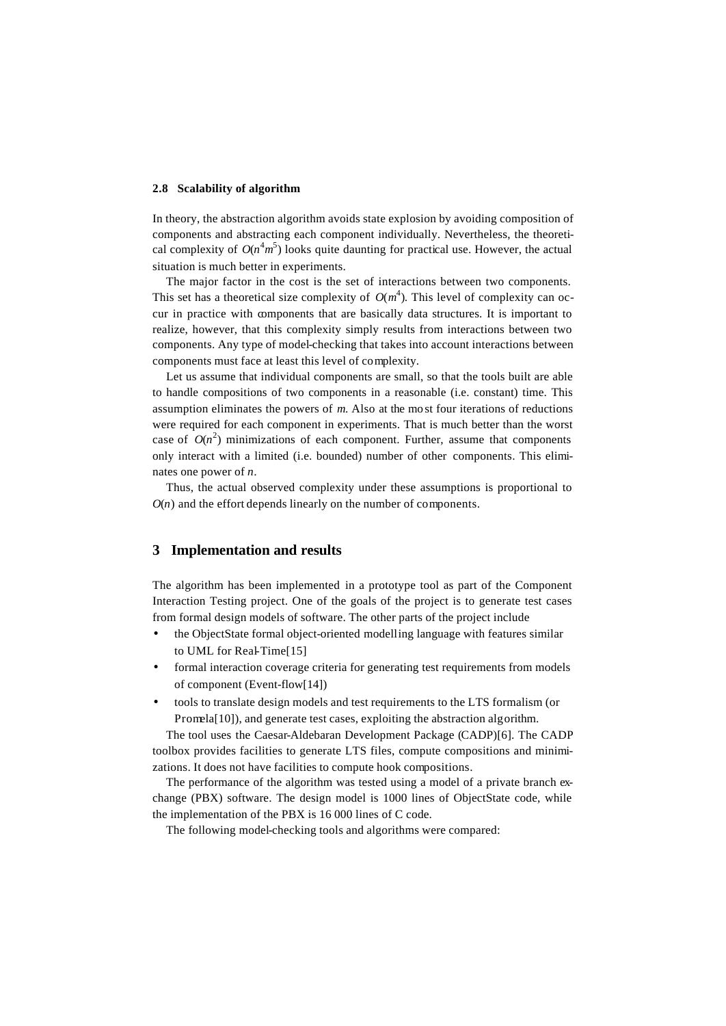#### **2.8 Scalability of algorithm**

In theory, the abstraction algorithm avoids state explosion by avoiding composition of components and abstracting each component individually. Nevertheless, the theoretical complexity of  $O(n^4m^5)$  looks quite daunting for practical use. However, the actual situation is much better in experiments.

The major factor in the cost is the set of interactions between two components. This set has a theoretical size complexity of  $O(m^4)$ . This level of complexity can occur in practice with components that are basically data structures. It is important to realize, however, that this complexity simply results from interactions between two components. Any type of model-checking that takes into account interactions between components must face at least this level of complexity.

Let us assume that individual components are small, so that the tools built are able to handle compositions of two components in a reasonable (i.e. constant) time. This assumption eliminates the powers of *m*. Also at the mo st four iterations of reductions were required for each component in experiments. That is much better than the worst case of  $O(n^2)$  minimizations of each component. Further, assume that components only interact with a limited (i.e. bounded) number of other components. This eliminates one power of *n*.

Thus, the actual observed complexity under these assumptions is proportional to  $O(n)$  and the effort depends linearly on the number of components.

## **3 Implementation and results**

The algorithm has been implemented in a prototype tool as part of the Component Interaction Testing project. One of the goals of the project is to generate test cases from formal design models of software. The other parts of the project include

- the ObjectState formal object-oriented modelling language with features similar to UML for Real-Time[15]
- formal interaction coverage criteria for generating test requirements from models of component (Event-flow[14])
- tools to translate design models and test requirements to the LTS formalism (or Promela<sup>[10]</sup>), and generate test cases, exploiting the abstraction algorithm.

The tool uses the Caesar-Aldebaran Development Package (CADP)[6]. The CADP toolbox provides facilities to generate LTS files, compute compositions and minimizations. It does not have facilities to compute hook compositions.

The performance of the algorithm was tested using a model of a private branch exchange (PBX) software. The design model is 1000 lines of ObjectState code, while the implementation of the PBX is 16 000 lines of C code.

The following model-checking tools and algorithms were compared: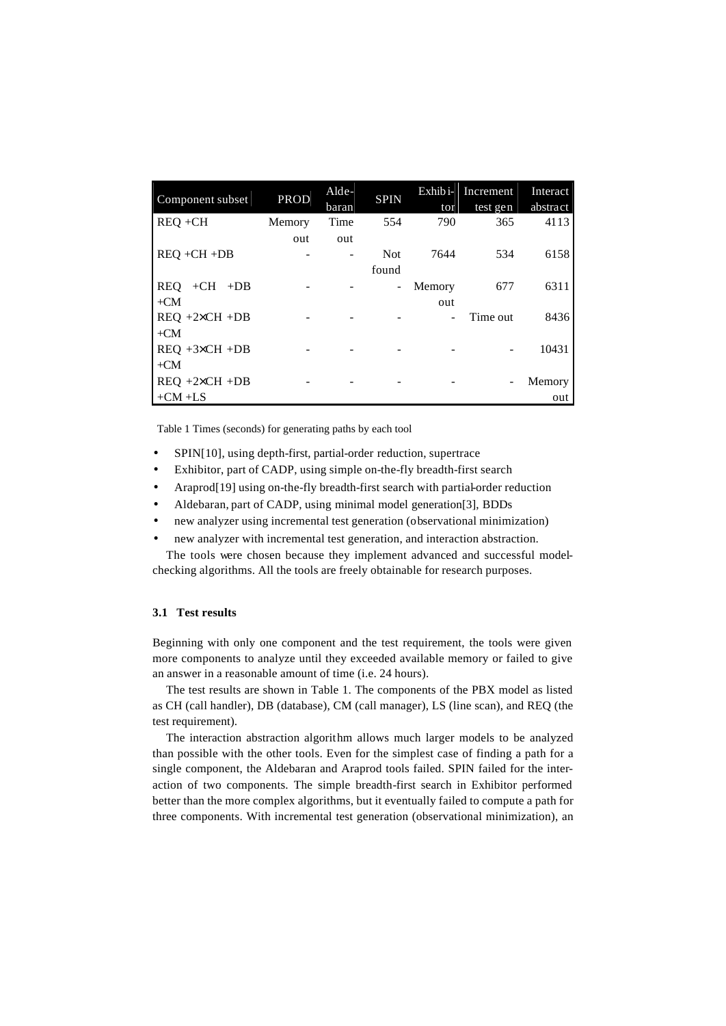| Component subset          | <b>PROD</b> | Alde-<br>baran | <b>SPIN</b>              | Exhib <sub>i</sub> -<br>tor | Increment<br>test gen | Interact<br>abstract |
|---------------------------|-------------|----------------|--------------------------|-----------------------------|-----------------------|----------------------|
| REQ +CH                   | Memory      | Time           | 554                      | 790                         | 365                   | 4113                 |
|                           | out         | out            |                          |                             |                       |                      |
| $REQ + CH + DB$           |             |                | <b>Not</b>               | 7644                        | 534                   | 6158                 |
|                           |             |                | found                    |                             |                       |                      |
| $+CH$ $+DB$<br><b>REO</b> |             |                | $\overline{\phantom{a}}$ | Memory                      | 677                   | 6311                 |
| $+CM$                     |             |                |                          | out                         |                       |                      |
| $REQ + 2 \times CH + DB$  |             |                |                          | ۰                           | Time out              | 8436                 |
| $+CM$                     |             |                |                          |                             |                       |                      |
| $REQ + 3 \times CH + DB$  |             |                |                          |                             |                       | 10431                |
| $+CM$                     |             |                |                          |                             |                       |                      |
| $REQ +2 \times CH + DB$   |             |                |                          |                             |                       | Memory               |
| $+CM + LS$                |             |                |                          |                             |                       | out                  |

Table 1 Times (seconds) for generating paths by each tool

- SPIN[10], using depth-first, partial-order reduction, supertrace
- Exhibitor, part of CADP, using simple on-the-fly breadth-first search
- Araprod[19] using on-the-fly breadth-first search with partial-order reduction
- Aldebaran, part of CADP, using minimal model generation[3], BDDs
- new analyzer using incremental test generation (observational minimization)
- new analyzer with incremental test generation, and interaction abstraction.

The tools were chosen because they implement advanced and successful modelchecking algorithms. All the tools are freely obtainable for research purposes.

## **3.1 Test results**

Beginning with only one component and the test requirement, the tools were given more components to analyze until they exceeded available memory or failed to give an answer in a reasonable amount of time (i.e. 24 hours).

The test results are shown in Table 1. The components of the PBX model as listed as CH (call handler), DB (database), CM (call manager), LS (line scan), and REQ (the test requirement).

The interaction abstraction algorithm allows much larger models to be analyzed than possible with the other tools. Even for the simplest case of finding a path for a single component, the Aldebaran and Araprod tools failed. SPIN failed for the interaction of two components. The simple breadth-first search in Exhibitor performed better than the more complex algorithms, but it eventually failed to compute a path for three components. With incremental test generation (observational minimization), an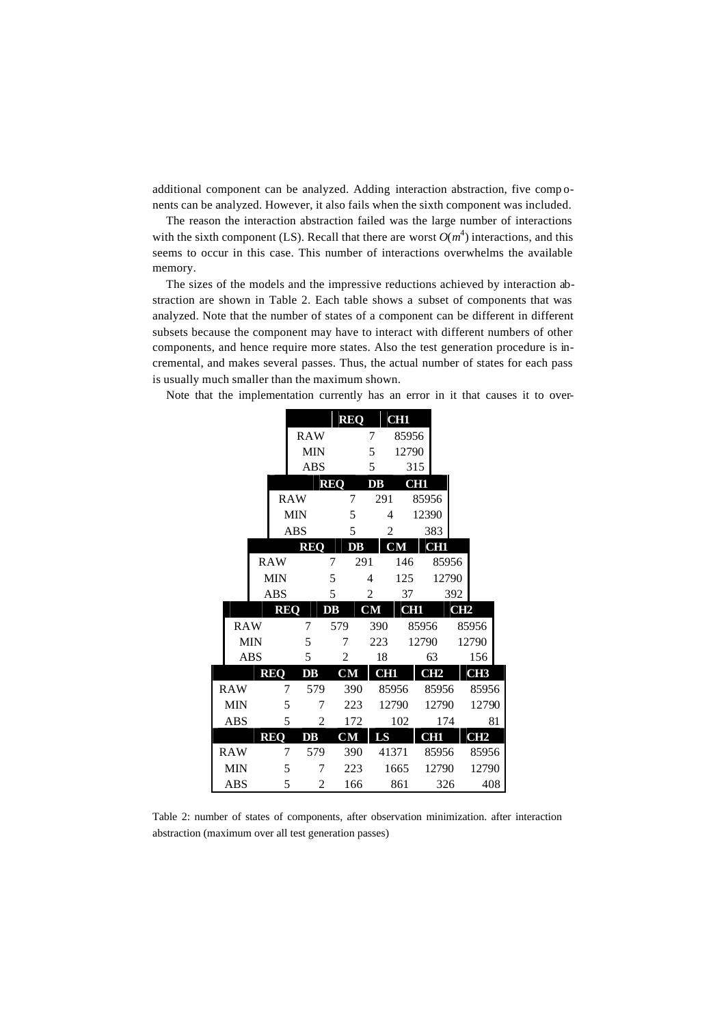additional component can be analyzed. Adding interaction abstraction, five comp onents can be analyzed. However, it also fails when the sixth component was included.

The reason the interaction abstraction failed was the large number of interactions with the sixth component (LS). Recall that there are worst  $O(m^4)$  interactions, and this seems to occur in this case. This number of interactions overwhelms the available memory.

The sizes of the models and the impressive reductions achieved by interaction abstraction are shown in Table 2. Each table shows a subset of components that was analyzed. Note that the number of states of a component can be different in different subsets because the component may have to interact with different numbers of other components, and hence require more states. Also the test generation procedure is incremental, and makes several passes. Thus, the actual number of states for each pass is usually much smaller than the maximum shown.

Note that the implementation currently has an error in it that causes it to over-

|            |            |            |                                              | <b>REQ</b>               |                        | <b>CH1</b>      |                 |     |                 |    |
|------------|------------|------------|----------------------------------------------|--------------------------|------------------------|-----------------|-----------------|-----|-----------------|----|
|            |            |            | <b>RAW</b>                                   |                          | 7                      | 85956           |                 |     |                 |    |
|            |            |            | <b>MIN</b>                                   |                          | 5                      | 12790           |                 |     |                 |    |
|            |            |            | <b>ABS</b>                                   |                          | 5                      |                 | 315             |     |                 |    |
|            |            |            |                                              | <b>REQ</b>               | DB                     |                 | CH <sub>1</sub> |     |                 |    |
|            |            | <b>RAW</b> |                                              | 7                        | 291                    |                 | 85956           |     |                 |    |
|            |            |            | <b>MIN</b>                                   | 5                        |                        | 4               | 12390           |     |                 |    |
|            |            |            | <b>ABS</b>                                   | 5                        |                        | 2               | 383             |     |                 |    |
|            |            |            | <b>REQ</b>                                   | $\overline{\mathbf{DB}}$ |                        | CM              | CH <sub>1</sub> |     |                 |    |
|            |            | <b>RAW</b> |                                              | 291<br>7                 |                        | 146             | 85956           |     |                 |    |
|            |            | <b>MIN</b> |                                              | 5                        | $\overline{4}$         | 125             | 12790           |     |                 |    |
|            |            | <b>ABS</b> |                                              | 5                        | $\overline{c}$         | 37              |                 | 392 |                 |    |
|            |            | <b>REQ</b> |                                              | $\overline{\mathbf{DB}}$ | $\overline{\text{CM}}$ | CH <sub>1</sub> |                 | CH2 |                 |    |
| <b>RAW</b> |            |            | 7                                            | 579                      | 390                    |                 | 85956           |     | 85956           |    |
|            | <b>MIN</b> |            | 5                                            | 7                        | 223                    |                 | 12790           |     | 12790           |    |
|            | <b>ABS</b> |            | 5                                            | $\overline{2}$           | 18                     |                 | 63              |     | 156             |    |
|            |            | <b>REQ</b> | $\overline{\mathbf{DB}}$                     | CM                       |                        | CH <sub>1</sub> | CH2             |     | CH <sub>3</sub> |    |
| <b>RAW</b> |            | 7          | 579                                          | 390                      |                        | 85956           | 85956           |     | 85956           |    |
| <b>MIN</b> |            | 5          | 7                                            | 223                      |                        | 12790           | 12790           |     | 12790           |    |
| <b>ABS</b> |            | 5          | $\overline{2}$                               | 172                      |                        | 102             | 174             |     |                 | 81 |
|            |            | <b>REQ</b> | $\overline{\mathbf{D}}\overline{\mathbf{B}}$ | CM                       | LS                     |                 | CH <sub>1</sub> |     | CH2             |    |
| <b>RAW</b> |            | 7          | 579                                          | 390                      |                        | 41371           | 85956           |     | 85956           |    |
| <b>MIN</b> |            | 5          | 7                                            | 223                      |                        | 1665            | 12790           |     | 12790           |    |
| <b>ABS</b> |            | 5          | 2                                            | 166                      |                        | 861             | 326             |     | 408             |    |

Table 2: number of states of components, after observation minimization. after interaction abstraction (maximum over all test generation passes)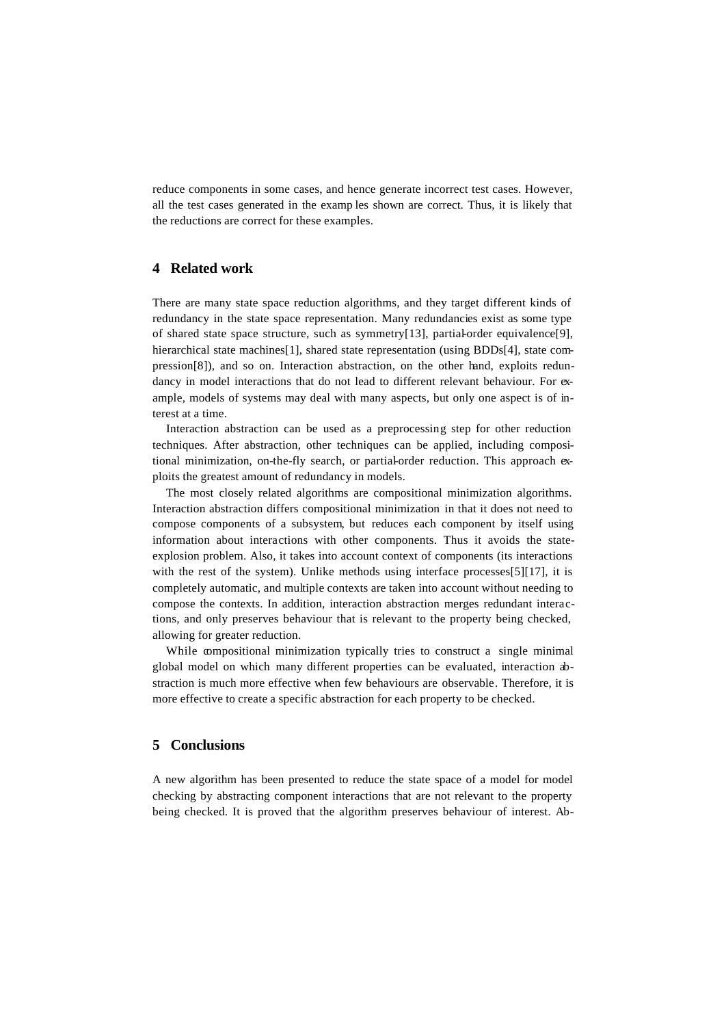reduce components in some cases, and hence generate incorrect test cases. However, all the test cases generated in the examp les shown are correct. Thus, it is likely that the reductions are correct for these examples.

## **4 Related work**

There are many state space reduction algorithms, and they target different kinds of redundancy in the state space representation. Many redundancies exist as some type of shared state space structure, such as symmetry[13], partial-order equivalence[9], hierarchical state machines[1], shared state representation (using BDDs[4], state compression[8]), and so on. Interaction abstraction, on the other hand, exploits redundancy in model interactions that do not lead to different relevant behaviour. For example, models of systems may deal with many aspects, but only one aspect is of interest at a time.

Interaction abstraction can be used as a preprocessing step for other reduction techniques. After abstraction, other techniques can be applied, including compositional minimization, on-the-fly search, or partial-order reduction. This approach exploits the greatest amount of redundancy in models.

The most closely related algorithms are compositional minimization algorithms. Interaction abstraction differs compositional minimization in that it does not need to compose components of a subsystem, but reduces each component by itself using information about interactions with other components. Thus it avoids the stateexplosion problem. Also, it takes into account context of components (its interactions with the rest of the system). Unlike methods using interface processes[5][17], it is completely automatic, and multiple contexts are taken into account without needing to compose the contexts. In addition, interaction abstraction merges redundant interactions, and only preserves behaviour that is relevant to the property being checked, allowing for greater reduction.

While compositional minimization typically tries to construct a single minimal global model on which many different properties can be evaluated, interaction abstraction is much more effective when few behaviours are observable. Therefore, it is more effective to create a specific abstraction for each property to be checked.

## **5 Conclusions**

A new algorithm has been presented to reduce the state space of a model for model checking by abstracting component interactions that are not relevant to the property being checked. It is proved that the algorithm preserves behaviour of interest. Ab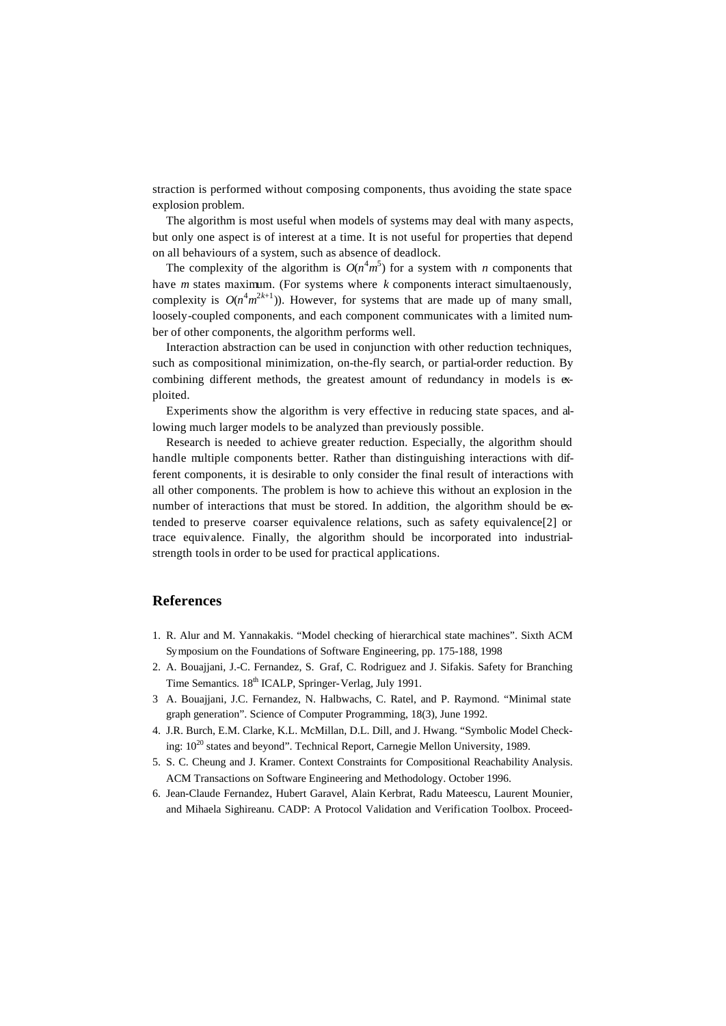straction is performed without composing components, thus avoiding the state space explosion problem.

The algorithm is most useful when models of systems may deal with many aspects, but only one aspect is of interest at a time. It is not useful for properties that depend on all behaviours of a system, such as absence of deadlock.

The complexity of the algorithm is  $O(n^4m^5)$  for a system with *n* components that have *m* states maximum. (For systems where *k* components interact simultaenously, complexity is  $O(n^4m^{2k+1})$ ). However, for systems that are made up of many small, loosely-coupled components, and each component communicates with a limited number of other components, the algorithm performs well.

Interaction abstraction can be used in conjunction with other reduction techniques, such as compositional minimization, on-the-fly search, or partial-order reduction. By combining different methods, the greatest amount of redundancy in models is exploited.

Experiments show the algorithm is very effective in reducing state spaces, and allowing much larger models to be analyzed than previously possible.

Research is needed to achieve greater reduction. Especially, the algorithm should handle multiple components better. Rather than distinguishing interactions with different components, it is desirable to only consider the final result of interactions with all other components. The problem is how to achieve this without an explosion in the number of interactions that must be stored. In addition, the algorithm should be extended to preserve coarser equivalence relations, such as safety equivalence[2] or trace equivalence. Finally, the algorithm should be incorporated into industrialstrength tools in order to be used for practical applications.

### **References**

- 1. R. Alur and M. Yannakakis. "Model checking of hierarchical state machines". Sixth ACM Symposium on the Foundations of Software Engineering, pp. 175-188, 1998
- 2. A. Bouajjani, J.-C. Fernandez, S. Graf, C. Rodriguez and J. Sifakis. Safety for Branching Time Semantics. 18<sup>th</sup> ICALP, Springer-Verlag, July 1991.
- 3 A. Bouajjani, J.C. Fernandez, N. Halbwachs, C. Ratel, and P. Raymond. "Minimal state graph generation". Science of Computer Programming, 18(3), June 1992.
- 4. J.R. Burch, E.M. Clarke, K.L. McMillan, D.L. Dill, and J. Hwang. "Symbolic Model Checking:  $10^{20}$  states and beyond". Technical Report, Carnegie Mellon University, 1989.
- 5. S. C. Cheung and J. Kramer. Context Constraints for Compositional Reachability Analysis. ACM Transactions on Software Engineering and Methodology. October 1996.
- 6. Jean-Claude Fernandez, Hubert Garavel, Alain Kerbrat, Radu Mateescu, Laurent Mounier, and Mihaela Sighireanu. CADP: A Protocol Validation and Verification Toolbox. Proceed-